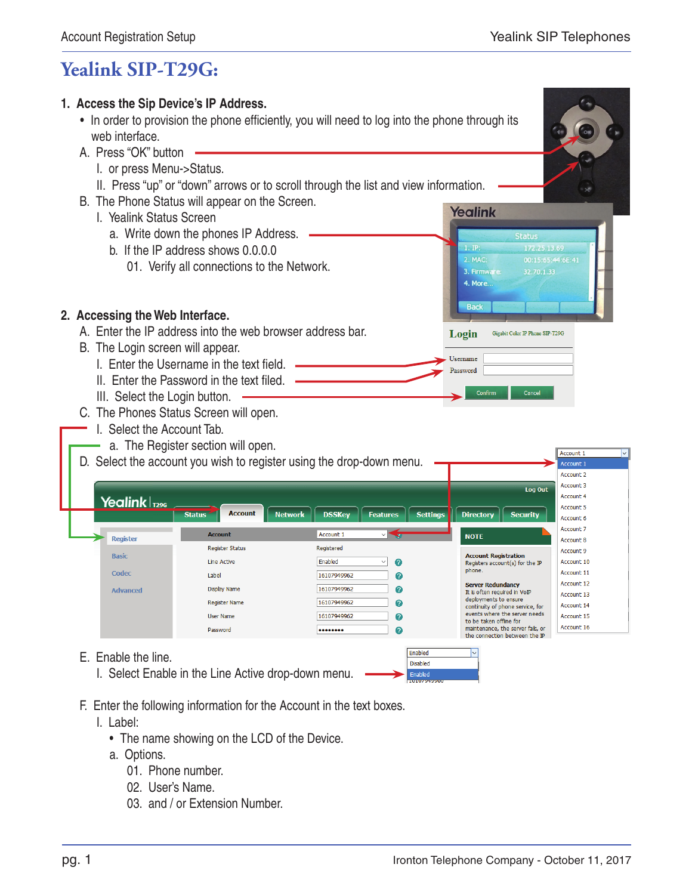## **Yealink SIP-T29G:**



- F. Enter the following information for the Account in the text boxes.
	- I. Label:
		- The name showing on the LCD of the Device.
		- a. Options.
			- 01. Phone number.
			- 02. User's Name.
			- 03. and / or Extension Number.